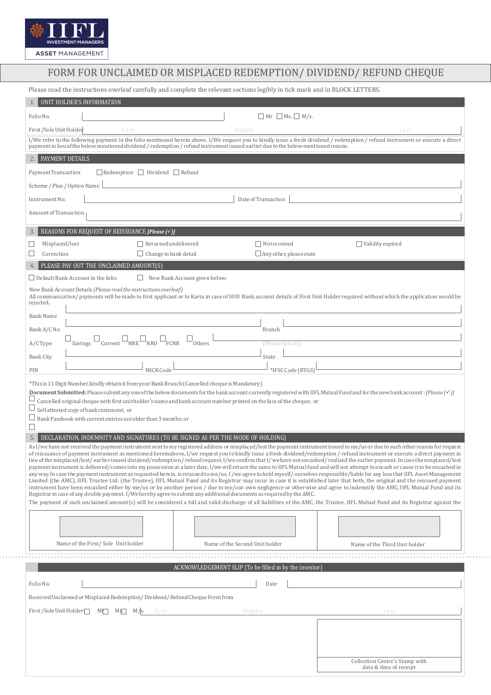

## FORM FOR UNCLAIMED OR MISPLACED REDEMPTION/ DIVIDEND/ REFUND CHEQUE

Please read the instructions overleaf carefully and complete the relevant sections legibly in tick mark and in BLOCK LETTERS.

| $Mr$ Ms. $M/s$ .<br>Folio No.<br>First / Sole Unit Holder<br>First<br>Middle<br>Last<br>I/We refer to the following payment in the folio mentioned herein above. I/We request you to kindly issue a fresh dividend / redemption / refund instrument or execute a direct<br>payment in lieu of the below mentioned dividend / redemption / refund instrument issued earlier due to the below mentioned reason.<br>PAYMENT DETAILS<br>2.1<br>$\Box$ Redemption $\Box$ Dividend $\Box$ Refund<br>Payment Transaction<br>Scheme / Plan / Option Name<br>Date of Transaction<br>Instrument No.<br>Amount of Transaction<br>REASONS FOR REQUEST OF REISSUANCE [Please [V]]<br>3.<br>$\Box$ Returned undelivered<br>Not received<br>Validity expired<br>Misplaced/lost<br>$\Box$ Change in bank detail<br>$\Box$ Any other, please state<br>Correction<br>PLEASE PAY OUT THE UNCLAIMED AMOUNT(S)<br>$\Box$ Default Bank Account in the folio<br>New Bank Account given below:<br>$\Box$<br>New Bank Account Details (Please read the instructions overleaf)<br>All communication/payments will be made to first applicant or to Karta in case of HUF. Bank account details of First Unit Holder required without which the application would be<br>rejected.<br><b>Bank Name</b><br>Branch<br>Bank A/C No<br>$Current$ $NRE$ $NRO$ $\Box$<br>FCNR<br>A/C Type<br>Savings<br>Others<br>(Please Specify)<br><b>Bank City</b><br>State<br>MICR Code<br>*IFSC Code (RTGS)<br>PIN<br>This is 11 Digit Number, kindly obtain it from your Bank Branch (Cancelled cheque is Mandatory)***<br><b>Document Submitted:</b> Please submit any one of the below documents for the bank account currently registered with IIFL Mutual Fund and for the new bank account: [Please $(\checkmark)$ ]<br>Cancelled original cheque with first unit holder's name and bank account number printed on the face of the cheque; or<br>Self attested copy of bank statement; or<br>Bank Passbook with current entries not older than 3 months: or<br>DECLARATION, INDEMNITY AND SIGNATURES (TO BE SIGNED AS PER THE MODE OF HOLDING)<br>5.<br>As I/we have not received the payment instrument sent to my registered address or misplaced/lost the payment instrument issued to me/us or due to such other reason for request<br>of reissuance of payment instrument as mentioned hereinabove, I/we request you to kindly issue a fresh dividend/redemption / refund instrument or execute a direct payment in<br>lieu of the misplaced/lost/earlier issued dividend/redemption/refund request. I/we confirm that I/we have not encashed/realised the earlier payment. In case the misplaced/lost<br>payment instrument is delivered/comes into my possession at a later date, I/we will return the same to IIFL Mutual fund and will not attempt to encash or cause it to be encashed in<br>any way. In case the payment instrument as requested herein, is reissued to me/us, I/we agree to hold myself/ourselves responsible/liable for any loss that IIFL Asset Management<br>Limited (the AMC), IIFL Trustee Ltd. (the Trustee), IIFL Mutual Fund and its Registrar may incur in case it is established later that both, the original and the reissued payment<br>instrument have been encashed either by me/us or by another person / due to my/our own negligence or otherwise and agree to indemnify the AMC, IIFL Mutual Fund and its<br>Registrar in case of any double payment. I/We hereby agree to submit any additional documents as required by the AMC.<br>The payment of such unclaimed amount(s) will be considered a full and valid discharge of all liabilities of the AMC, the Trustee, IIFL Mutual Fund and its Registrar against the<br>Name of the First/Sole Unit holder<br>Name of the Second Unit holder<br>Name of the Third Unit holder<br>ACKNOWLEDGEMENT SLIP (To be filled in by the investor)<br>Folio No.<br>Date<br>Received Unclaimed or Misplaced Redemption/Dividend/Refund Cheque Form from<br>First / Sole Unit Holder<br>$M_{\Gamma}$<br>$M\$<br>Middle<br>First<br>Last<br>Collection Centre's Stamp with | UNIT HOLDER'S INFORMATION |  |  |  |  |
|------------------------------------------------------------------------------------------------------------------------------------------------------------------------------------------------------------------------------------------------------------------------------------------------------------------------------------------------------------------------------------------------------------------------------------------------------------------------------------------------------------------------------------------------------------------------------------------------------------------------------------------------------------------------------------------------------------------------------------------------------------------------------------------------------------------------------------------------------------------------------------------------------------------------------------------------------------------------------------------------------------------------------------------------------------------------------------------------------------------------------------------------------------------------------------------------------------------------------------------------------------------------------------------------------------------------------------------------------------------------------------------------------------------------------------------------------------------------------------------------------------------------------------------------------------------------------------------------------------------------------------------------------------------------------------------------------------------------------------------------------------------------------------------------------------------------------------------------------------------------------------------------------------------------------------------------------------------------------------------------------------------------------------------------------------------------------------------------------------------------------------------------------------------------------------------------------------------------------------------------------------------------------------------------------------------------------------------------------------------------------------------------------------------------------------------------------------------------------------------------------------------------------------------------------------------------------------------------------------------------------------------------------------------------------------------------------------------------------------------------------------------------------------------------------------------------------------------------------------------------------------------------------------------------------------------------------------------------------------------------------------------------------------------------------------------------------------------------------------------------------------------------------------------------------------------------------------------------------------------------------------------------------------------------------------------------------------------------------------------------------------------------------------------------------------------------------------------------------------------------------------------------------------------------------------------------------------------------------------------------------------------------------------------------------------------------------------------------------------------------------------------------------------------------------------------------------------------------------------------------------------------------------------------------------------------------------------------------------------------------------------------------------------------------------------------------------------------------------------------------|---------------------------|--|--|--|--|
|                                                                                                                                                                                                                                                                                                                                                                                                                                                                                                                                                                                                                                                                                                                                                                                                                                                                                                                                                                                                                                                                                                                                                                                                                                                                                                                                                                                                                                                                                                                                                                                                                                                                                                                                                                                                                                                                                                                                                                                                                                                                                                                                                                                                                                                                                                                                                                                                                                                                                                                                                                                                                                                                                                                                                                                                                                                                                                                                                                                                                                                                                                                                                                                                                                                                                                                                                                                                                                                                                                                                                                                                                                                                                                                                                                                                                                                                                                                                                                                                                                                                                                                        |                           |  |  |  |  |
|                                                                                                                                                                                                                                                                                                                                                                                                                                                                                                                                                                                                                                                                                                                                                                                                                                                                                                                                                                                                                                                                                                                                                                                                                                                                                                                                                                                                                                                                                                                                                                                                                                                                                                                                                                                                                                                                                                                                                                                                                                                                                                                                                                                                                                                                                                                                                                                                                                                                                                                                                                                                                                                                                                                                                                                                                                                                                                                                                                                                                                                                                                                                                                                                                                                                                                                                                                                                                                                                                                                                                                                                                                                                                                                                                                                                                                                                                                                                                                                                                                                                                                                        |                           |  |  |  |  |
|                                                                                                                                                                                                                                                                                                                                                                                                                                                                                                                                                                                                                                                                                                                                                                                                                                                                                                                                                                                                                                                                                                                                                                                                                                                                                                                                                                                                                                                                                                                                                                                                                                                                                                                                                                                                                                                                                                                                                                                                                                                                                                                                                                                                                                                                                                                                                                                                                                                                                                                                                                                                                                                                                                                                                                                                                                                                                                                                                                                                                                                                                                                                                                                                                                                                                                                                                                                                                                                                                                                                                                                                                                                                                                                                                                                                                                                                                                                                                                                                                                                                                                                        |                           |  |  |  |  |
|                                                                                                                                                                                                                                                                                                                                                                                                                                                                                                                                                                                                                                                                                                                                                                                                                                                                                                                                                                                                                                                                                                                                                                                                                                                                                                                                                                                                                                                                                                                                                                                                                                                                                                                                                                                                                                                                                                                                                                                                                                                                                                                                                                                                                                                                                                                                                                                                                                                                                                                                                                                                                                                                                                                                                                                                                                                                                                                                                                                                                                                                                                                                                                                                                                                                                                                                                                                                                                                                                                                                                                                                                                                                                                                                                                                                                                                                                                                                                                                                                                                                                                                        |                           |  |  |  |  |
|                                                                                                                                                                                                                                                                                                                                                                                                                                                                                                                                                                                                                                                                                                                                                                                                                                                                                                                                                                                                                                                                                                                                                                                                                                                                                                                                                                                                                                                                                                                                                                                                                                                                                                                                                                                                                                                                                                                                                                                                                                                                                                                                                                                                                                                                                                                                                                                                                                                                                                                                                                                                                                                                                                                                                                                                                                                                                                                                                                                                                                                                                                                                                                                                                                                                                                                                                                                                                                                                                                                                                                                                                                                                                                                                                                                                                                                                                                                                                                                                                                                                                                                        |                           |  |  |  |  |
|                                                                                                                                                                                                                                                                                                                                                                                                                                                                                                                                                                                                                                                                                                                                                                                                                                                                                                                                                                                                                                                                                                                                                                                                                                                                                                                                                                                                                                                                                                                                                                                                                                                                                                                                                                                                                                                                                                                                                                                                                                                                                                                                                                                                                                                                                                                                                                                                                                                                                                                                                                                                                                                                                                                                                                                                                                                                                                                                                                                                                                                                                                                                                                                                                                                                                                                                                                                                                                                                                                                                                                                                                                                                                                                                                                                                                                                                                                                                                                                                                                                                                                                        |                           |  |  |  |  |
|                                                                                                                                                                                                                                                                                                                                                                                                                                                                                                                                                                                                                                                                                                                                                                                                                                                                                                                                                                                                                                                                                                                                                                                                                                                                                                                                                                                                                                                                                                                                                                                                                                                                                                                                                                                                                                                                                                                                                                                                                                                                                                                                                                                                                                                                                                                                                                                                                                                                                                                                                                                                                                                                                                                                                                                                                                                                                                                                                                                                                                                                                                                                                                                                                                                                                                                                                                                                                                                                                                                                                                                                                                                                                                                                                                                                                                                                                                                                                                                                                                                                                                                        |                           |  |  |  |  |
|                                                                                                                                                                                                                                                                                                                                                                                                                                                                                                                                                                                                                                                                                                                                                                                                                                                                                                                                                                                                                                                                                                                                                                                                                                                                                                                                                                                                                                                                                                                                                                                                                                                                                                                                                                                                                                                                                                                                                                                                                                                                                                                                                                                                                                                                                                                                                                                                                                                                                                                                                                                                                                                                                                                                                                                                                                                                                                                                                                                                                                                                                                                                                                                                                                                                                                                                                                                                                                                                                                                                                                                                                                                                                                                                                                                                                                                                                                                                                                                                                                                                                                                        |                           |  |  |  |  |
|                                                                                                                                                                                                                                                                                                                                                                                                                                                                                                                                                                                                                                                                                                                                                                                                                                                                                                                                                                                                                                                                                                                                                                                                                                                                                                                                                                                                                                                                                                                                                                                                                                                                                                                                                                                                                                                                                                                                                                                                                                                                                                                                                                                                                                                                                                                                                                                                                                                                                                                                                                                                                                                                                                                                                                                                                                                                                                                                                                                                                                                                                                                                                                                                                                                                                                                                                                                                                                                                                                                                                                                                                                                                                                                                                                                                                                                                                                                                                                                                                                                                                                                        |                           |  |  |  |  |
|                                                                                                                                                                                                                                                                                                                                                                                                                                                                                                                                                                                                                                                                                                                                                                                                                                                                                                                                                                                                                                                                                                                                                                                                                                                                                                                                                                                                                                                                                                                                                                                                                                                                                                                                                                                                                                                                                                                                                                                                                                                                                                                                                                                                                                                                                                                                                                                                                                                                                                                                                                                                                                                                                                                                                                                                                                                                                                                                                                                                                                                                                                                                                                                                                                                                                                                                                                                                                                                                                                                                                                                                                                                                                                                                                                                                                                                                                                                                                                                                                                                                                                                        |                           |  |  |  |  |
|                                                                                                                                                                                                                                                                                                                                                                                                                                                                                                                                                                                                                                                                                                                                                                                                                                                                                                                                                                                                                                                                                                                                                                                                                                                                                                                                                                                                                                                                                                                                                                                                                                                                                                                                                                                                                                                                                                                                                                                                                                                                                                                                                                                                                                                                                                                                                                                                                                                                                                                                                                                                                                                                                                                                                                                                                                                                                                                                                                                                                                                                                                                                                                                                                                                                                                                                                                                                                                                                                                                                                                                                                                                                                                                                                                                                                                                                                                                                                                                                                                                                                                                        |                           |  |  |  |  |
|                                                                                                                                                                                                                                                                                                                                                                                                                                                                                                                                                                                                                                                                                                                                                                                                                                                                                                                                                                                                                                                                                                                                                                                                                                                                                                                                                                                                                                                                                                                                                                                                                                                                                                                                                                                                                                                                                                                                                                                                                                                                                                                                                                                                                                                                                                                                                                                                                                                                                                                                                                                                                                                                                                                                                                                                                                                                                                                                                                                                                                                                                                                                                                                                                                                                                                                                                                                                                                                                                                                                                                                                                                                                                                                                                                                                                                                                                                                                                                                                                                                                                                                        |                           |  |  |  |  |
|                                                                                                                                                                                                                                                                                                                                                                                                                                                                                                                                                                                                                                                                                                                                                                                                                                                                                                                                                                                                                                                                                                                                                                                                                                                                                                                                                                                                                                                                                                                                                                                                                                                                                                                                                                                                                                                                                                                                                                                                                                                                                                                                                                                                                                                                                                                                                                                                                                                                                                                                                                                                                                                                                                                                                                                                                                                                                                                                                                                                                                                                                                                                                                                                                                                                                                                                                                                                                                                                                                                                                                                                                                                                                                                                                                                                                                                                                                                                                                                                                                                                                                                        |                           |  |  |  |  |
|                                                                                                                                                                                                                                                                                                                                                                                                                                                                                                                                                                                                                                                                                                                                                                                                                                                                                                                                                                                                                                                                                                                                                                                                                                                                                                                                                                                                                                                                                                                                                                                                                                                                                                                                                                                                                                                                                                                                                                                                                                                                                                                                                                                                                                                                                                                                                                                                                                                                                                                                                                                                                                                                                                                                                                                                                                                                                                                                                                                                                                                                                                                                                                                                                                                                                                                                                                                                                                                                                                                                                                                                                                                                                                                                                                                                                                                                                                                                                                                                                                                                                                                        |                           |  |  |  |  |
|                                                                                                                                                                                                                                                                                                                                                                                                                                                                                                                                                                                                                                                                                                                                                                                                                                                                                                                                                                                                                                                                                                                                                                                                                                                                                                                                                                                                                                                                                                                                                                                                                                                                                                                                                                                                                                                                                                                                                                                                                                                                                                                                                                                                                                                                                                                                                                                                                                                                                                                                                                                                                                                                                                                                                                                                                                                                                                                                                                                                                                                                                                                                                                                                                                                                                                                                                                                                                                                                                                                                                                                                                                                                                                                                                                                                                                                                                                                                                                                                                                                                                                                        |                           |  |  |  |  |
|                                                                                                                                                                                                                                                                                                                                                                                                                                                                                                                                                                                                                                                                                                                                                                                                                                                                                                                                                                                                                                                                                                                                                                                                                                                                                                                                                                                                                                                                                                                                                                                                                                                                                                                                                                                                                                                                                                                                                                                                                                                                                                                                                                                                                                                                                                                                                                                                                                                                                                                                                                                                                                                                                                                                                                                                                                                                                                                                                                                                                                                                                                                                                                                                                                                                                                                                                                                                                                                                                                                                                                                                                                                                                                                                                                                                                                                                                                                                                                                                                                                                                                                        |                           |  |  |  |  |
|                                                                                                                                                                                                                                                                                                                                                                                                                                                                                                                                                                                                                                                                                                                                                                                                                                                                                                                                                                                                                                                                                                                                                                                                                                                                                                                                                                                                                                                                                                                                                                                                                                                                                                                                                                                                                                                                                                                                                                                                                                                                                                                                                                                                                                                                                                                                                                                                                                                                                                                                                                                                                                                                                                                                                                                                                                                                                                                                                                                                                                                                                                                                                                                                                                                                                                                                                                                                                                                                                                                                                                                                                                                                                                                                                                                                                                                                                                                                                                                                                                                                                                                        |                           |  |  |  |  |
|                                                                                                                                                                                                                                                                                                                                                                                                                                                                                                                                                                                                                                                                                                                                                                                                                                                                                                                                                                                                                                                                                                                                                                                                                                                                                                                                                                                                                                                                                                                                                                                                                                                                                                                                                                                                                                                                                                                                                                                                                                                                                                                                                                                                                                                                                                                                                                                                                                                                                                                                                                                                                                                                                                                                                                                                                                                                                                                                                                                                                                                                                                                                                                                                                                                                                                                                                                                                                                                                                                                                                                                                                                                                                                                                                                                                                                                                                                                                                                                                                                                                                                                        |                           |  |  |  |  |
|                                                                                                                                                                                                                                                                                                                                                                                                                                                                                                                                                                                                                                                                                                                                                                                                                                                                                                                                                                                                                                                                                                                                                                                                                                                                                                                                                                                                                                                                                                                                                                                                                                                                                                                                                                                                                                                                                                                                                                                                                                                                                                                                                                                                                                                                                                                                                                                                                                                                                                                                                                                                                                                                                                                                                                                                                                                                                                                                                                                                                                                                                                                                                                                                                                                                                                                                                                                                                                                                                                                                                                                                                                                                                                                                                                                                                                                                                                                                                                                                                                                                                                                        |                           |  |  |  |  |
|                                                                                                                                                                                                                                                                                                                                                                                                                                                                                                                                                                                                                                                                                                                                                                                                                                                                                                                                                                                                                                                                                                                                                                                                                                                                                                                                                                                                                                                                                                                                                                                                                                                                                                                                                                                                                                                                                                                                                                                                                                                                                                                                                                                                                                                                                                                                                                                                                                                                                                                                                                                                                                                                                                                                                                                                                                                                                                                                                                                                                                                                                                                                                                                                                                                                                                                                                                                                                                                                                                                                                                                                                                                                                                                                                                                                                                                                                                                                                                                                                                                                                                                        |                           |  |  |  |  |
|                                                                                                                                                                                                                                                                                                                                                                                                                                                                                                                                                                                                                                                                                                                                                                                                                                                                                                                                                                                                                                                                                                                                                                                                                                                                                                                                                                                                                                                                                                                                                                                                                                                                                                                                                                                                                                                                                                                                                                                                                                                                                                                                                                                                                                                                                                                                                                                                                                                                                                                                                                                                                                                                                                                                                                                                                                                                                                                                                                                                                                                                                                                                                                                                                                                                                                                                                                                                                                                                                                                                                                                                                                                                                                                                                                                                                                                                                                                                                                                                                                                                                                                        |                           |  |  |  |  |
|                                                                                                                                                                                                                                                                                                                                                                                                                                                                                                                                                                                                                                                                                                                                                                                                                                                                                                                                                                                                                                                                                                                                                                                                                                                                                                                                                                                                                                                                                                                                                                                                                                                                                                                                                                                                                                                                                                                                                                                                                                                                                                                                                                                                                                                                                                                                                                                                                                                                                                                                                                                                                                                                                                                                                                                                                                                                                                                                                                                                                                                                                                                                                                                                                                                                                                                                                                                                                                                                                                                                                                                                                                                                                                                                                                                                                                                                                                                                                                                                                                                                                                                        |                           |  |  |  |  |
|                                                                                                                                                                                                                                                                                                                                                                                                                                                                                                                                                                                                                                                                                                                                                                                                                                                                                                                                                                                                                                                                                                                                                                                                                                                                                                                                                                                                                                                                                                                                                                                                                                                                                                                                                                                                                                                                                                                                                                                                                                                                                                                                                                                                                                                                                                                                                                                                                                                                                                                                                                                                                                                                                                                                                                                                                                                                                                                                                                                                                                                                                                                                                                                                                                                                                                                                                                                                                                                                                                                                                                                                                                                                                                                                                                                                                                                                                                                                                                                                                                                                                                                        |                           |  |  |  |  |
|                                                                                                                                                                                                                                                                                                                                                                                                                                                                                                                                                                                                                                                                                                                                                                                                                                                                                                                                                                                                                                                                                                                                                                                                                                                                                                                                                                                                                                                                                                                                                                                                                                                                                                                                                                                                                                                                                                                                                                                                                                                                                                                                                                                                                                                                                                                                                                                                                                                                                                                                                                                                                                                                                                                                                                                                                                                                                                                                                                                                                                                                                                                                                                                                                                                                                                                                                                                                                                                                                                                                                                                                                                                                                                                                                                                                                                                                                                                                                                                                                                                                                                                        |                           |  |  |  |  |
|                                                                                                                                                                                                                                                                                                                                                                                                                                                                                                                                                                                                                                                                                                                                                                                                                                                                                                                                                                                                                                                                                                                                                                                                                                                                                                                                                                                                                                                                                                                                                                                                                                                                                                                                                                                                                                                                                                                                                                                                                                                                                                                                                                                                                                                                                                                                                                                                                                                                                                                                                                                                                                                                                                                                                                                                                                                                                                                                                                                                                                                                                                                                                                                                                                                                                                                                                                                                                                                                                                                                                                                                                                                                                                                                                                                                                                                                                                                                                                                                                                                                                                                        |                           |  |  |  |  |
| date & time of receipt                                                                                                                                                                                                                                                                                                                                                                                                                                                                                                                                                                                                                                                                                                                                                                                                                                                                                                                                                                                                                                                                                                                                                                                                                                                                                                                                                                                                                                                                                                                                                                                                                                                                                                                                                                                                                                                                                                                                                                                                                                                                                                                                                                                                                                                                                                                                                                                                                                                                                                                                                                                                                                                                                                                                                                                                                                                                                                                                                                                                                                                                                                                                                                                                                                                                                                                                                                                                                                                                                                                                                                                                                                                                                                                                                                                                                                                                                                                                                                                                                                                                                                 |                           |  |  |  |  |